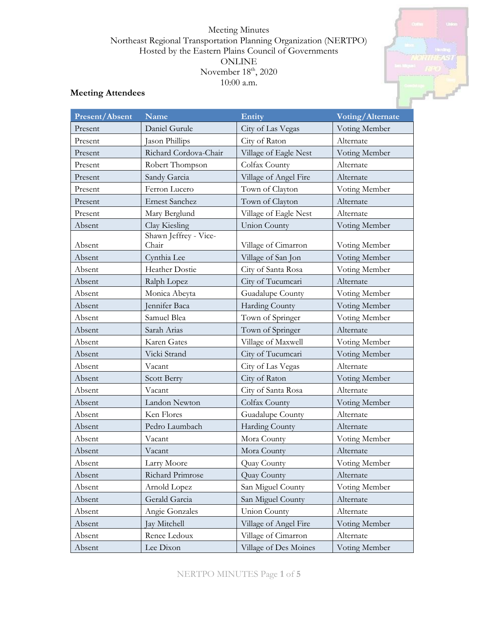#### Meeting Minutes Northeast Regional Transportation Planning Organization (NERTPO) Hosted by the Eastern Plains Council of Governments ONLINE November 18<sup>th</sup>, 2020 10:00 a.m.

# **Meeting Attendees**

| Present/Absent | <b>Name</b>                    | Entity                | Voting/Alternate |  |
|----------------|--------------------------------|-----------------------|------------------|--|
| Present        | Daniel Gurule                  | City of Las Vegas     | Voting Member    |  |
| Present        | Jason Phillips                 | City of Raton         | Alternate        |  |
| Present        | Richard Cordova-Chair          | Village of Eagle Nest | Voting Member    |  |
| Present        | Robert Thompson                | Colfax County         | Alternate        |  |
| Present        | Sandy Garcia                   | Village of Angel Fire | Alternate        |  |
| Present        | Ferron Lucero                  | Town of Clayton       | Voting Member    |  |
| Present        | <b>Ernest Sanchez</b>          | Town of Clayton       | Alternate        |  |
| Present        | Mary Berglund                  | Village of Eagle Nest | Alternate        |  |
| Absent         | Clay Kiesling                  | <b>Union County</b>   | Voting Member    |  |
| Absent         | Shawn Jeffrey - Vice-<br>Chair | Village of Cimarron   | Voting Member    |  |
| Absent         | Cynthia Lee                    | Village of San Jon    | Voting Member    |  |
| Absent         | Heather Dostie                 | City of Santa Rosa    | Voting Member    |  |
| Absent         | Ralph Lopez                    | City of Tucumcari     | Alternate        |  |
| Absent         | Monica Abeyta                  | Guadalupe County      | Voting Member    |  |
| Absent         | Jennifer Baca                  | <b>Harding County</b> | Voting Member    |  |
| Absent         | Samuel Blea                    | Town of Springer      | Voting Member    |  |
| Absent         | Sarah Arias                    | Town of Springer      | Alternate        |  |
| Absent         | Karen Gates                    | Village of Maxwell    | Voting Member    |  |
| Absent         | Vicki Strand                   | City of Tucumcari     | Voting Member    |  |
| Absent         | Vacant                         | City of Las Vegas     | Alternate        |  |
| Absent         | Scott Berry                    | City of Raton         | Voting Member    |  |
| Absent         | Vacant                         | City of Santa Rosa    | Alternate        |  |
| Absent         | Landon Newton                  | Colfax County         | Voting Member    |  |
| Absent         | Ken Flores                     | Guadalupe County      | Alternate        |  |
| Absent         | Pedro Laumbach                 | <b>Harding County</b> | Alternate        |  |
| Absent         | Vacant                         | Mora County           | Voting Member    |  |
| Absent         | Vacant                         | Mora County           | Alternate        |  |
| Absent         | Larry Moore                    | Quay County           | Voting Member    |  |
| Absent         | Richard Primrose               | Quay County           | Alternate        |  |
| Absent         | Arnold Lopez                   | San Miguel County     | Voting Member    |  |
| Absent         | Gerald Garcia                  | San Miguel County     | Alternate        |  |
| Absent         | Angie Gonzales                 | <b>Union County</b>   | Alternate        |  |
| Absent         | Jay Mitchell                   | Village of Angel Fire | Voting Member    |  |
| Absent         | Renee Ledoux                   | Village of Cimarron   | Alternate        |  |
| Absent         | Lee Dixon                      | Village of Des Moines | Voting Member    |  |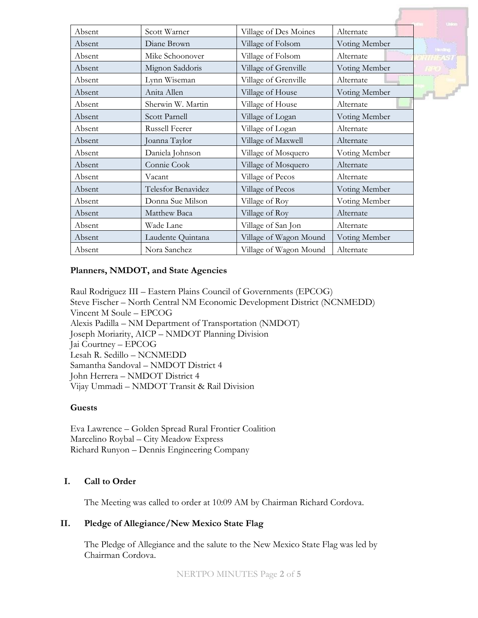|        |                    |                        |               | unter     |
|--------|--------------------|------------------------|---------------|-----------|
| Absent | Scott Warner       | Village of Des Moines  | Alternate     |           |
| Absent | Diane Brown        | Village of Folsom      | Voting Member |           |
| Absent | Mike Schoonover    | Village of Folsom      | Alternate     | Handing : |
| Absent | Mignon Saddoris    | Village of Grenville   | Voting Member |           |
| Absent | Lynn Wiseman       | Village of Grenville   | Alternate     |           |
| Absent | Anita Allen        | Village of House       | Voting Member |           |
| Absent | Sherwin W. Martin  | Village of House       | Alternate     |           |
| Absent | Scott Parnell      | Village of Logan       | Voting Member |           |
| Absent | Russell Feerer     | Village of Logan       | Alternate     |           |
| Absent | Joanna Taylor      | Village of Maxwell     | Alternate     |           |
| Absent | Daniela Johnson    | Village of Mosquero    | Voting Member |           |
| Absent | Connie Cook        | Village of Mosquero    | Alternate     |           |
| Absent | Vacant             | Village of Pecos       | Alternate     |           |
| Absent | Telesfor Benavidez | Village of Pecos       | Voting Member |           |
| Absent | Donna Sue Milson   | Village of Roy         | Voting Member |           |
| Absent | Matthew Baca       | Village of Roy         | Alternate     |           |
| Absent | Wade Lane          | Village of San Jon     | Alternate     |           |
| Absent | Laudente Quintana  | Village of Wagon Mound | Voting Member |           |
| Absent | Nora Sanchez       | Village of Wagon Mound | Alternate     |           |

#### **Planners, NMDOT, and State Agencies**

Raul Rodriguez III – Eastern Plains Council of Governments (EPCOG) Steve Fischer – North Central NM Economic Development District (NCNMEDD) Vincent M Soule – EPCOG Alexis Padilla – NM Department of Transportation (NMDOT) Joseph Moriarity, AICP – NMDOT Planning Division Jai Courtney – EPCOG Lesah R. Sedillo – NCNMEDD Samantha Sandoval – NMDOT District 4 John Herrera – NMDOT District 4 Vijay Ummadi – NMDOT Transit & Rail Division

#### **Guests**

Eva Lawrence – Golden Spread Rural Frontier Coalition Marcelino Roybal – City Meadow Express Richard Runyon – Dennis Engineering Company

## **I. Call to Order**

The Meeting was called to order at 10:09 AM by Chairman Richard Cordova.

## **II. Pledge of Allegiance/New Mexico State Flag**

The Pledge of Allegiance and the salute to the New Mexico State Flag was led by Chairman Cordova.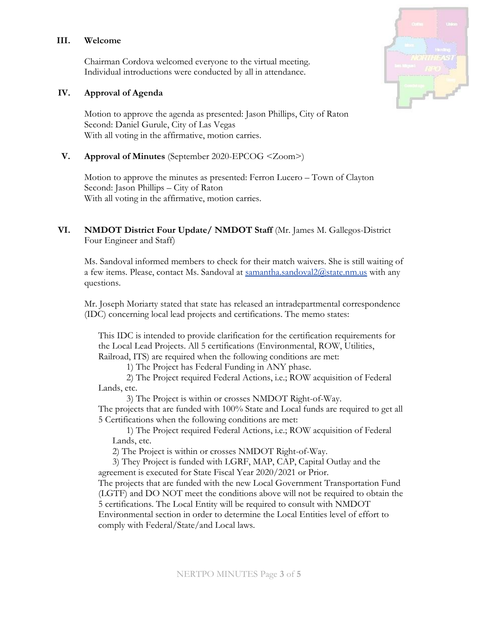#### **III. Welcome**

Chairman Cordova welcomed everyone to the virtual meeting. Individual introductions were conducted by all in attendance.

#### **IV. Approval of Agenda**

Motion to approve the agenda as presented: Jason Phillips, City of Raton Second: Daniel Gurule, City of Las Vegas With all voting in the affirmative, motion carries.

#### **V. Approval of Minutes** (September 2020-EPCOG <Zoom>)

Motion to approve the minutes as presented: Ferron Lucero – Town of Clayton Second: Jason Phillips – City of Raton With all voting in the affirmative, motion carries.

## **VI. NMDOT District Four Update/ NMDOT Staff** (Mr. James M. Gallegos-District Four Engineer and Staff)

Ms. Sandoval informed members to check for their match waivers. She is still waiting of a few items. Please, contact Ms. Sandoval at samantha.sandoval2@state.nm.us with any questions.

Mr. Joseph Moriarty stated that state has released an intradepartmental correspondence (IDC) concerning local lead projects and certifications. The memo states:

This IDC is intended to provide clarification for the certification requirements for the Local Lead Projects. All 5 certifications (Environmental, ROW, Utilities, Railroad, ITS) are required when the following conditions are met:

1) The Project has Federal Funding in ANY phase.

2) The Project required Federal Actions, i.e.; ROW acquisition of Federal Lands, etc.

3) The Project is within or crosses NMDOT Right-of-Way.

The projects that are funded with 100% State and Local funds are required to get all 5 Certifications when the following conditions are met:

1) The Project required Federal Actions, i.e.; ROW acquisition of Federal Lands, etc.

2) The Project is within or crosses NMDOT Right-of-Way.

3) They Project is funded with LGRF, MAP, CAP, Capital Outlay and the agreement is executed for State Fiscal Year 2020/2021 or Prior. The projects that are funded with the new Local Government Transportation Fund (LGTF) and DO NOT meet the conditions above will not be required to obtain the 5 certifications. The Local Entity will be required to consult with NMDOT Environmental section in order to determine the Local Entities level of effort to comply with Federal/State/and Local laws.

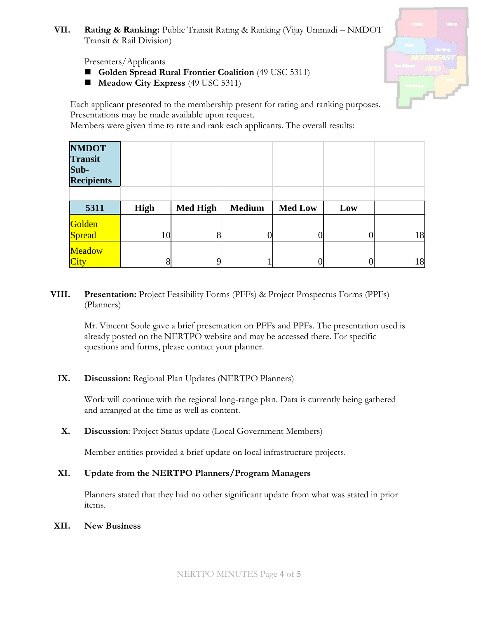# **VII. Rating & Ranking:** Public Transit Rating & Ranking (Vijay Ummadi – NMDOT Transit & Rail Division)

Presenters/Applicants

- **Golden Spread Rural Frontier Coalition** (49 USC 5311)
- **Meadow City Express** (49 USC 5311)

Each applicant presented to the membership present for rating and ranking purposes. Presentations may be made available upon request.

Members were given time to rate and rank each applicants. The overall results:

| <b>NMDOT</b><br><b>Transit</b><br>Sub-<br><b>Recipients</b> |      |                 |               |                |     |    |
|-------------------------------------------------------------|------|-----------------|---------------|----------------|-----|----|
| 5311                                                        | High | <b>Med High</b> | <b>Medium</b> | <b>Med Low</b> | Low |    |
| Golden<br>Spread                                            | 10   | 8               |               |                |     | 18 |
| <b>Meadow</b><br>City                                       | 8    |                 |               |                |     | 18 |

### **VIII. Presentation:** Project Feasibility Forms (PFFs) & Project Prospectus Forms (PPFs) (Planners)

Mr. Vincent Soule gave a brief presentation on PFFs and PPFs. The presentation used is already posted on the NERTPO website and may be accessed there. For specific questions and forms, please contact your planner.

#### **IX. Discussion:** Regional Plan Updates (NERTPO Planners)

Work will continue with the regional long-range plan. Data is currently being gathered and arranged at the time as well as content.

**X. Discussion**: Project Status update (Local Government Members)

Member entities provided a brief update on local infrastructure projects.

### **XI. Update from the NERTPO Planners/Program Managers**

Planners stated that they had no other significant update from what was stated in prior items.

#### **XII. New Business**